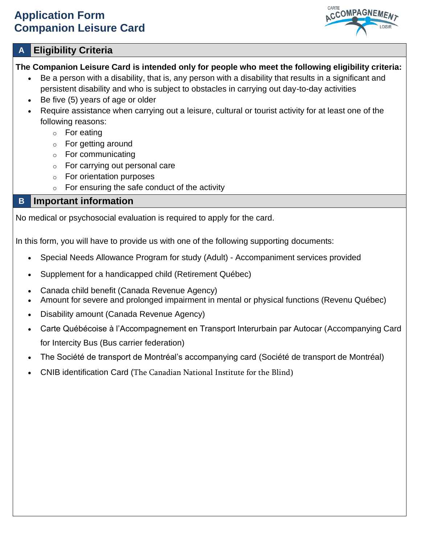# **Application Form Companion Leisure Card**



# **A Eligibility Criteria**

## **The Companion Leisure Card is intended only for people who meet the following eligibility criteria:**

- Be a person with a disability, that is, any person with a disability that results in a significant and persistent disability and who is subject to obstacles in carrying out day-to-day activities
- Be five (5) years of age or older
- Require assistance when carrying out a leisure, cultural or tourist activity for at least one of the following reasons:
	- o For eating
	- o For getting around
	- o For communicating
	- o For carrying out personal care
	- o For orientation purposes
	- $\circ$  For ensuring the safe conduct of the activity

# **B Important information**

No medical or psychosocial evaluation is required to apply for the card.

In this form, you will have to provide us with one of the following supporting documents:

- Special Needs Allowance Program for study (Adult) Accompaniment services provided
- Supplement for a handicapped child (Retirement Québec)
- Canada child benefit (Canada Revenue Agency)
- Amount for severe and prolonged impairment in mental or physical functions (Revenu Québec)
- Disability amount (Canada Revenue Agency)
- Carte Québécoise à l'Accompagnement en Transport Interurbain par Autocar (Accompanying Card for Intercity Bus (Bus carrier federation)
- The Société de transport de Montréal's accompanying card (Société de transport de Montréal)
- CNIB identification Card (The Canadian National Institute for the Blind)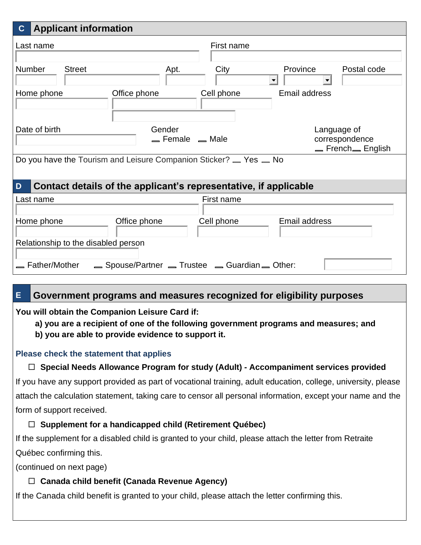| <b>Applicant information</b><br>$\mathbf{C}$                          |                                                        |  |
|-----------------------------------------------------------------------|--------------------------------------------------------|--|
| Last name                                                             | First name                                             |  |
| <b>Number</b><br><b>Street</b><br>Apt.                                | City<br>Province<br>Postal code<br>$\blacksquare$<br>▼ |  |
| Home phone<br>Office phone                                            | <b>Email address</b><br>Cell phone                     |  |
| Date of birth<br>Gender<br>$=$ Female $=$ Male                        | Language of<br>correspondence<br>_French_English       |  |
| Do you have the Tourism and Leisure Companion Sticker? _ Yes _ No     |                                                        |  |
| Contact details of the applicant's representative, if applicable<br>D |                                                        |  |
| Last name                                                             | First name                                             |  |
| Office phone<br>Home phone<br>Relationship to the disabled person     | <b>Email address</b><br>Cell phone                     |  |
| Father/Mother<br>Spouse/Partner _ Trustee _ Guardian _ Other:         |                                                        |  |

# **E Government programs and measures recognized for eligibility purposes**

**You will obtain the Companion Leisure Card if:**

**a) you are a recipient of one of the following government programs and measures; and**

**b) you are able to provide evidence to support it.** 

## **Please check the statement that applies**

# **Special Needs Allowance Program for study (Adult) - Accompaniment services provided**

If you have any support provided as part of vocational training, adult education, college, university, please attach the calculation statement, taking care to censor all personal information, except your name and the form of support received.

# **Supplement for a handicapped child (Retirement Québec)**

If the supplement for a disabled child is granted to your child, please attach the letter from Retraite Québec confirming this.

(continued on next page)

# **Canada child benefit (Canada Revenue Agency)**

If the Canada child benefit is granted to your child, please attach the letter confirming this.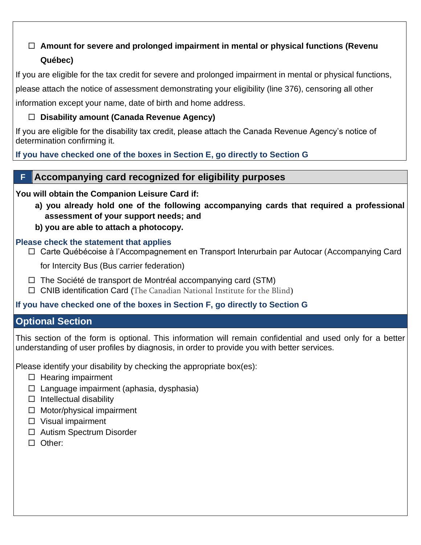# **Amount for severe and prolonged impairment in mental or physical functions (Revenu Québec)**

If you are eligible for the tax credit for severe and prolonged impairment in mental or physical functions,

please attach the notice of assessment demonstrating your eligibility (line 376), censoring all other

information except your name, date of birth and home address.

#### **Disability amount (Canada Revenue Agency)**

If you are eligible for the disability tax credit, please attach the Canada Revenue Agency's notice of determination confirming it.

**If you have checked one of the boxes in Section E, go directly to Section G**

# **F Accompanying card recognized for eligibility purposes**

**You will obtain the Companion Leisure Card if:** 

- **a) you already hold one of the following accompanying cards that required a professional assessment of your support needs; and**
- **b) you are able to attach a photocopy.**

#### **Please check the statement that applies**

□ Carte Québécoise à l'Accompagnement en Transport Interurbain par Autocar (Accompanying Card

for Intercity Bus (Bus carrier federation)

- $\Box$  The Société de transport de Montréal accompanying card (STM)
- $\Box$  CNIB identification Card (The Canadian National Institute for the Blind)

## **If you have checked one of the boxes in Section F, go directly to Section G**

## **Optional Section**

This section of the form is optional. This information will remain confidential and used only for a better understanding of user profiles by diagnosis, in order to provide you with better services.

Please identify your disability by checking the appropriate box(es):

- $\Box$  Hearing impairment
- $\Box$  Language impairment (aphasia, dysphasia)
- $\Box$  Intellectual disability
- $\Box$  Motor/physical impairment
- $\Box$  Visual impairment
- □ Autism Spectrum Disorder
- □ Other: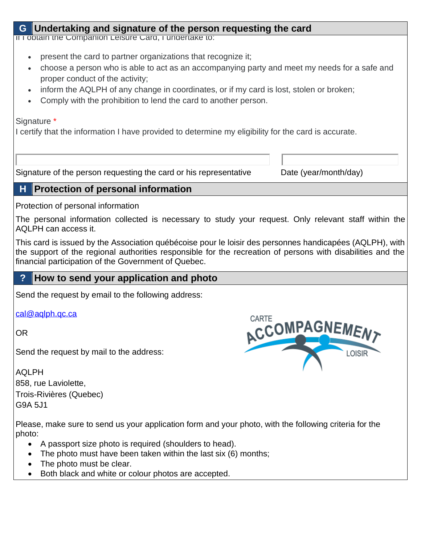## **G Undertaking and signature of the person requesting the card**

If I obtain the Companion Leisure Card, I undertake to:

- present the card to partner organizations that recognize it;
- choose a person who is able to act as an accompanying party and meet my needs for a safe and proper conduct of the activity;
- inform the AQLPH of any change in coordinates, or if my card is lost, stolen or broken;
- Comply with the prohibition to lend the card to another person.

Signature \*

I certify that the information I have provided to determine my eligibility for the card is accurate.

Signature of the person requesting the card or his representative Date (year/month/day)

#### **H Protection of personal information**

Protection of personal information

The personal information collected is necessary to study your request. Only relevant staff within the AQLPH can access it.

This card is issued by the Association québécoise pour le loisir des personnes handicapées (AQLPH), with the support of the regional authorities responsible for the recreation of persons with disabilities and the financial participation of the Government of Quebec.

## **? How to send your application and photo**

Send the request by email to the following address:

[cal@aqlph.qc.ca](mailto:cal@aqlph.qc.ca)

OR

Send the request by mail to the address:

AQLPH 858, rue Laviolette, Trois-Rivières (Quebec) G9A 5J1

CARTE **ACCOMPAGNEMENT** LOISIR

Please, make sure to send us your application form and your photo, with the following criteria for the photo:

- A passport size photo is required (shoulders to head).
- The photo must have been taken within the last six (6) months;
- The photo must be clear.
- Both black and white or colour photos are accepted.